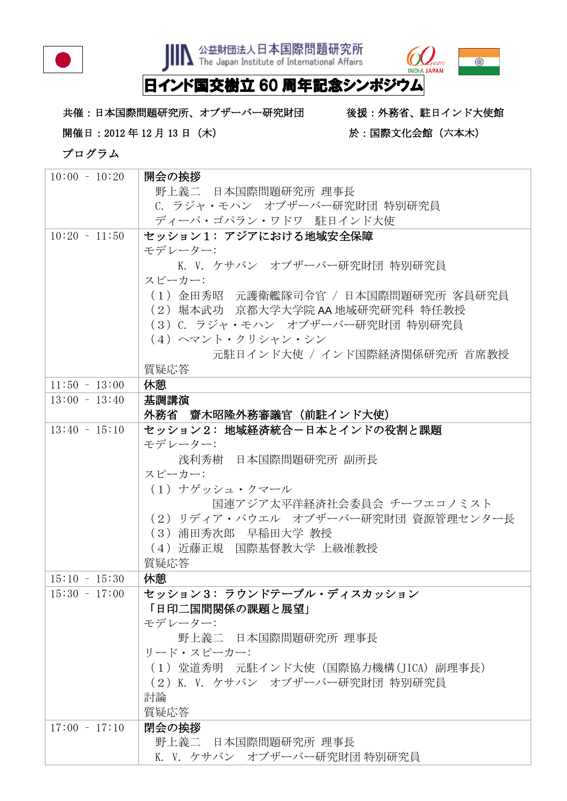

**JIIN** 公益財団法人日本国際問題研究所



## 日インド国交樹立 60 周年記念シンポジウム

共催:日本国際問題研究所、オブザーバー研究財団 後援:外務省、駐日インド大使館 開催日: 2012年12月13日 (木) まちらにはならない おはに国際文化会館 (六本木)

プログラム

| $10:00 - 10:20$ | 開会の挨拶                               |
|-----------------|-------------------------------------|
|                 | 野上義二 日本国際問題研究所 理事長                  |
|                 | C. ラジャ・モハン オブザーバー研究財団 特別研究員         |
|                 | ディーパ・ゴパラン・ワドワ 駐日インド大使               |
| $10:20 - 11:50$ | セッション1:アジアにおける地域安全保障                |
|                 | モデレーター:                             |
|                 | K. V. ケサバン オブザーバー研究財団 特別研究員         |
|                 | スピーカー:                              |
|                 | (1)金田秀昭 元護衛艦隊司令官 / 日本国際問題研究所 客員研究員  |
|                 | (2) 堀本武功 京都大学大学院 AA 地域研究研究科 特任教授    |
|                 | (3)C. ラジャ・モハン オブザーバー研究財団 特別研究員      |
|                 | (4) ヘマント・クリシャン・シン                   |
|                 | 元駐日インド大使 / インド国際経済関係研究所 首席教授        |
|                 | 質疑応答                                |
| $11:50 - 13:00$ | 休憩                                  |
| $13:00 - 13:40$ | 基調講演                                |
|                 | 外務省 齋木昭隆外務審議官(前駐インド大使)              |
| $13:40 - 15:10$ | セッション2: 地域経済統合-日本とインドの役割と課題         |
|                 | モデレーター:                             |
|                 | 浅利秀樹 日本国際問題研究所 副所長                  |
|                 | スピーカー:                              |
|                 | (1) ナゲッシュ・クマール                      |
|                 | 国連アジア太平洋経済社会委員会 チーフエコノミスト           |
|                 | (2) リディア・パウエル オブザーバー研究財団 資源管理センター長  |
|                 | (3) 浦田秀次郎 早稲田大学 教授                  |
|                 | (4) 近藤正規 国際基督教大学 上級准教授              |
|                 |                                     |
|                 | 質疑応答                                |
| $15:10 - 15:30$ | 休憩                                  |
| $15:30 - 17:00$ | セッション3:ラウンドテーブル・ディスカッション            |
|                 | 「日印二国間関係の課題と展望」                     |
|                 | モデレーター:                             |
|                 | 野上義二 日本国際問題研究所 理事長                  |
|                 | リード・スピーカー:                          |
|                 | (1) 堂道秀明 元駐インド大使(国際協力機構(JICA) 副理事長) |
|                 | (2) K. V. ケサバン オブザーバー研究財団 特別研究員     |
|                 | 討論                                  |
|                 | 質疑応答                                |
| $17:00 - 17:10$ | 閉会の挨拶                               |
|                 | 野上義二 日本国際問題研究所 理事長                  |
|                 | K. V. ケサバン オブザーバー研究財団 特別研究員         |